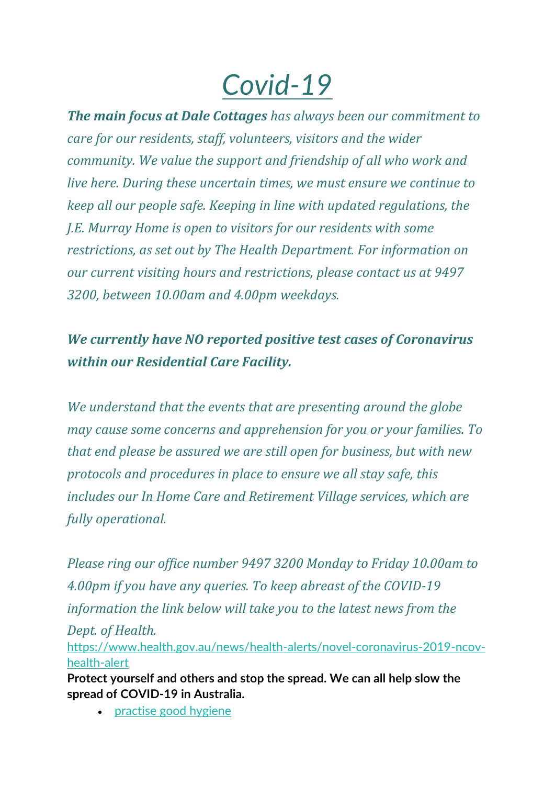## *Covid-19*

*The main focus at Dale Cottages has always been our commitment to care for our residents, staff, volunteers, visitors and the wider community. We value the support and friendship of all who work and live here. During these uncertain times, we must ensure we continue to keep all our people safe. Keeping in line with updated regulations, the J.E. Murray Home is open to visitors for our residents with some restrictions, as set out by The Health Department. For information on our current visiting hours and restrictions, please contact us at 9497 3200, between 10.00am and 4.00pm weekdays.*

## *We currently have NO reported positive test cases of Coronavirus within our Residential Care Facility.*

*We understand that the events that are presenting around the globe may cause some concerns and apprehension for you or your families. To that end please be assured we are still open for business, but with new protocols and procedures in place to ensure we all stay safe, this includes our In Home Care and Retirement Village services, which are fully operational.*

*Please ring our office number 9497 3200 Monday to Friday 10.00am to 4.00pm if you have any queries. To keep abreast of the COVID-19 information the link below will take you to the latest news from the Dept. of Health.* [https://www.health.gov.au/news/health-alerts/novel-coronavirus-2019-ncov-](https://www.health.gov.au/news/health-alerts/novel-coronavirus-2019-ncov-health-alert)

[health-alert](https://www.health.gov.au/news/health-alerts/novel-coronavirus-2019-ncov-health-alert) **Protect yourself and others and stop the spread. We can all help slow the spread of COVID-19 in Australia.**

• [practise good hygiene](https://www.health.gov.au/news/health-alerts/novel-coronavirus-2019-ncov-health-alert/how-to-protect-yourself-and-others-from-coronavirus-covid-19/good-hygiene-for-coronavirus-covid-19)